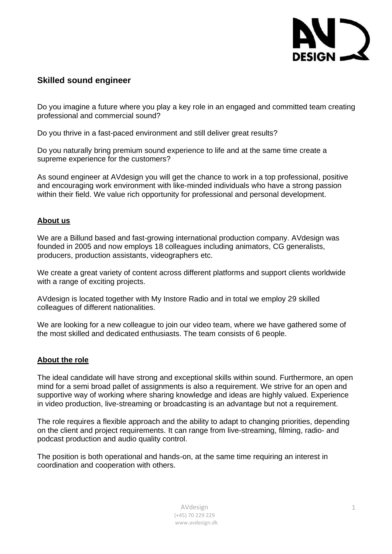

# **Skilled sound engineer**

Do you imagine a future where you play a key role in an engaged and committed team creating professional and commercial sound?

Do you thrive in a fast-paced environment and still deliver great results?

Do you naturally bring premium sound experience to life and at the same time create a supreme experience for the customers?

As sound engineer at AVdesign you will get the chance to work in a top [professional,](https://da.bab.la/ordbog/engelsk-dansk/professionalism) positive and encouraging work environment with like-minded individuals who have a strong passion within their field. We value rich opportunity for professional and personal development.

### **About us**

We are a Billund based and fast-growing international production company. AVdesign was founded in 2005 and now employs 18 colleagues including animators, CG generalists, producers, production assistants, videographers etc.

We create a great variety of content across different platforms and support clients worldwide with a range of exciting projects.

AVdesign is located together with My Instore Radio and in total we employ 29 skilled colleagues of different nationalities.

We are looking for a new colleague to join our video team, where we have gathered some of the most skilled and dedicated enthusiasts. The team consists of 6 people.

## **About the role**

The ideal candidate will have strong and exceptional skills within sound. Furthermore, an open mind for a semi broad pallet of assignments is also a requirement. We strive for an open and supportive way of working where sharing knowledge and ideas are highly valued. Experience in video production, live-streaming or broadcasting is an advantage but not a requirement.

The role requires a flexible approach and the ability to adapt to changing priorities, depending on the client and project requirements. It can range from live-streaming, filming, radio- and podcast production and audio quality control.

The position is both operational and hands-on, at the same time requiring an interest in coordination and cooperation with others.